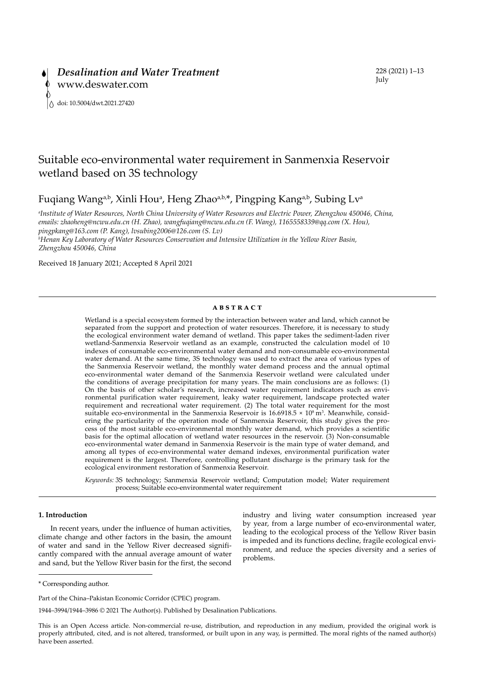# Suitable eco-environmental water requirement in Sanmenxia Reservoir wetland based on 3S technology

Fuqiang Wang<sup>a,b</sup>, Xinli Hou<sup>a</sup>, Heng Zhao<sup>a,b,\*</sup>, Pingping Kang<sup>a,b</sup>, Subing Lv<sup>a</sup>

*a Institute of Water Resources, North China University of Water Resources and Electric Power, Zhengzhou 450046, China, emails: zhaoheng@ncwu.edu.cn (H. Zhao), wangfuqiang@ncwu.edu.cn (F. Wang), 1165558339@qq.com (X. Hou), pingpkang@163.com (P. Kang), lvsubing2006@126.com (S. Lv) b Henan Key Laboratory of Water Resources Conservation and Intensive Utilization in the Yellow River Basin,* 

*Zhengzhou 450046, China*

Received 18 January 2021; Accepted 8 April 2021

# **ABSTRACT**

Wetland is a special ecosystem formed by the interaction between water and land, which cannot be separated from the support and protection of water resources. Therefore, it is necessary to study the ecological environment water demand of wetland. This paper takes the sediment-laden river wetland-Sanmenxia Reservoir wetland as an example, constructed the calculation model of 10 indexes of consumable eco-environmental water demand and non-consumable eco-environmental water demand. At the same time, 3S technology was used to extract the area of various types of the Sanmenxia Reservoir wetland, the monthly water demand process and the annual optimal eco-environmental water demand of the Sanmenxia Reservoir wetland were calculated under the conditions of average precipitation for many years. The main conclusions are as follows: (1) On the basis of other scholar's research, increased water requirement indicators such as environmental purification water requirement, leaky water requirement, landscape protected water requirement and recreational water requirement. (2) The total water requirement for the most suitable eco-environmental in the Sanmenxia Reservoir is  $16.6918.5 \times 10^8 \,\mathrm{m}^3$ . Meanwhile, considering the particularity of the operation mode of Sanmenxia Reservoir, this study gives the process of the most suitable eco-environmental monthly water demand, which provides a scientific basis for the optimal allocation of wetland water resources in the reservoir. (3) Non-consumable eco-environmental water demand in Sanmenxia Reservoir is the main type of water demand, and among all types of eco-environmental water demand indexes, environmental purification water requirement is the largest. Therefore, controlling pollutant discharge is the primary task for the ecological environment restoration of Sanmenxia Reservoir.

*Keywords:* 3S technology; Sanmenxia Reservoir wetland; Computation model; Water requirement process; Suitable eco-environmental water requirement

# **1. Introduction**

In recent years, under the influence of human activities, climate change and other factors in the basin, the amount of water and sand in the Yellow River decreased significantly compared with the annual average amount of water and sand, but the Yellow River basin for the first, the second industry and living water consumption increased year by year, from a large number of eco-environmental water, leading to the ecological process of the Yellow River basin is impeded and its functions decline, fragile ecological environment, and reduce the species diversity and a series of problems.

1944–3994/1944–3986 © 2021 The Author(s). Published by Desalination Publications.

<sup>\*</sup> Corresponding author.

Part of the China–Pakistan Economic Corridor (CPEC) program.

This is an Open Access article. Non-commercial re-use, distribution, and reproduction in any medium, provided the original work is properly attributed, cited, and is not altered, transformed, or built upon in any way, is permitted. The moral rights of the named author(s) have been asserted.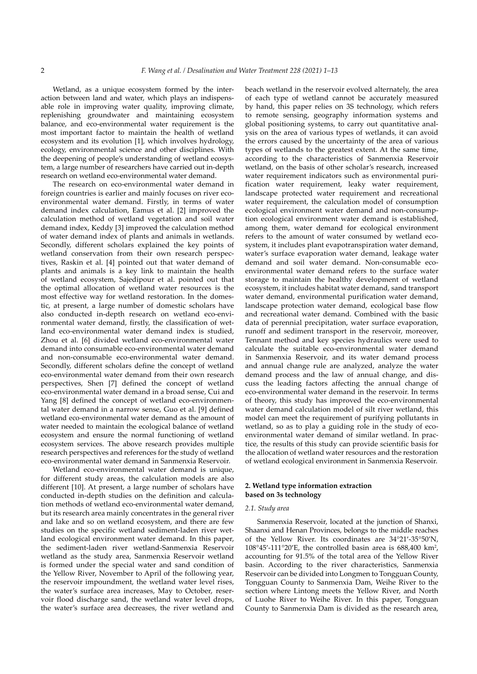Wetland, as a unique ecosystem formed by the interaction between land and water, which plays an indispensable role in improving water quality, improving climate, replenishing groundwater and maintaining ecosystem balance, and eco-environmental water requirement is the most important factor to maintain the health of wetland ecosystem and its evolution [1], which involves hydrology, ecology, environmental science and other disciplines. With the deepening of people's understanding of wetland ecosystem, a large number of researchers have carried out in-depth research on wetland eco-environmental water demand.

The research on eco-environmental water demand in foreign countries is earlier and mainly focuses on river ecoenvironmental water demand. Firstly, in terms of water demand index calculation, Eamus et al. [2] improved the calculation method of wetland vegetation and soil water demand index, Keddy [3] improved the calculation method of water demand index of plants and animals in wetlands. Secondly, different scholars explained the key points of wetland conservation from their own research perspectives, Raskin et al. [4] pointed out that water demand of plants and animals is a key link to maintain the health of wetland ecosystem, Sajedipour et al. pointed out that the optimal allocation of wetland water resources is the most effective way for wetland restoration. In the domestic, at present, a large number of domestic scholars have also conducted in-depth research on wetland eco-environmental water demand, firstly, the classification of wetland eco-environmental water demand index is studied, Zhou et al. [6] divided wetland eco-environmental water demand into consumable eco-environmental water demand and non-consumable eco-environmental water demand. Secondly, different scholars define the concept of wetland eco-environmental water demand from their own research perspectives, Shen [7] defined the concept of wetland eco-environmental water demand in a broad sense, Cui and Yang [8] defined the concept of wetland eco-environmental water demand in a narrow sense, Guo et al. [9] defined wetland eco-environmental water demand as the amount of water needed to maintain the ecological balance of wetland ecosystem and ensure the normal functioning of wetland ecosystem services. The above research provides multiple research perspectives and references for the study of wetland eco-environmental water demand in Sanmenxia Reservoir.

Wetland eco-environmental water demand is unique. for different study areas, the calculation models are also different [10]. At present, a large number of scholars have conducted in-depth studies on the definition and calculation methods of wetland eco-environmental water demand, but its research area mainly concentrates in the general river and lake and so on wetland ecosystem, and there are few studies on the specific wetland sediment-laden river wetland ecological environment water demand. In this paper, the sediment-laden river wetland-Sanmenxia Reservoir wetland as the study area, Sanmenxia Reservoir wetland is formed under the special water and sand condition of the Yellow River, November to April of the following year, the reservoir impoundment, the wetland water level rises, the water's surface area increases, May to October, reservoir flood discharge sand, the wetland water level drops, the water's surface area decreases, the river wetland and beach wetland in the reservoir evolved alternately, the area of each type of wetland cannot be accurately measured by hand, this paper relies on 3S technology, which refers to remote sensing, geography information systems and global positioning systems, to carry out quantitative analysis on the area of various types of wetlands, it can avoid the errors caused by the uncertainty of the area of various types of wetlands to the greatest extent. At the same time, according to the characteristics of Sanmenxia Reservoir wetland, on the basis of other scholar's research, increased water requirement indicators such as environmental purification water requirement, leaky water requirement, landscape protected water requirement and recreational water requirement, the calculation model of consumption ecological environment water demand and non-consumption ecological environment water demand is established, among them, water demand for ecological environment refers to the amount of water consumed by wetland ecosystem, it includes plant evapotranspiration water demand, water's surface evaporation water demand, leakage water demand and soil water demand. Non-consumable ecoenvironmental water demand refers to the surface water storage to maintain the healthy development of wetland ecosystem, it includes habitat water demand, sand transport water demand, environmental purification water demand, landscape protection water demand, ecological base flow and recreational water demand. Combined with the basic data of perennial precipitation, water surface evaporation, runoff and sediment transport in the reservoir, moreover, Tennant method and key species hydraulics were used to calculate the suitable eco-environmental water demand in Sanmenxia Reservoir, and its water demand process and annual change rule are analyzed, analyze the water demand process and the law of annual change, and discuss the leading factors affecting the annual change of eco-environmental water demand in the reservoir. In terms of theory, this study has improved the eco-environmental water demand calculation model of silt river wetland, this model can meet the requirement of purifying pollutants in wetland, so as to play a guiding role in the study of ecoenvironmental water demand of similar wetland. In practice, the results of this study can provide scientific basis for the allocation of wetland water resources and the restoration of wetland ecological environment in Sanmenxia Reservoir.

# **2. Wetland type information extraction based on 3s technology**

# *2.1. Study area*

Sanmenxia Reservoir, located at the junction of Shanxi, Shaanxi and Henan Provinces, belongs to the middle reaches of the Yellow River. Its coordinates are 34°21′-35°50′N, 108°45′-111°20′E, the controlled basin area is  $688,400 \text{ km}^2$ , accounting for 91.5% of the total area of the Yellow River basin. According to the river characteristics, Sanmenxia Reservoir can be divided into Longmen to Tongguan County, Tongguan County to Sanmenxia Dam, Weihe River to the section where Lintong meets the Yellow River, and North of Luohe River to Weihe River. In this paper, Tongguan County to Sanmenxia Dam is divided as the research area,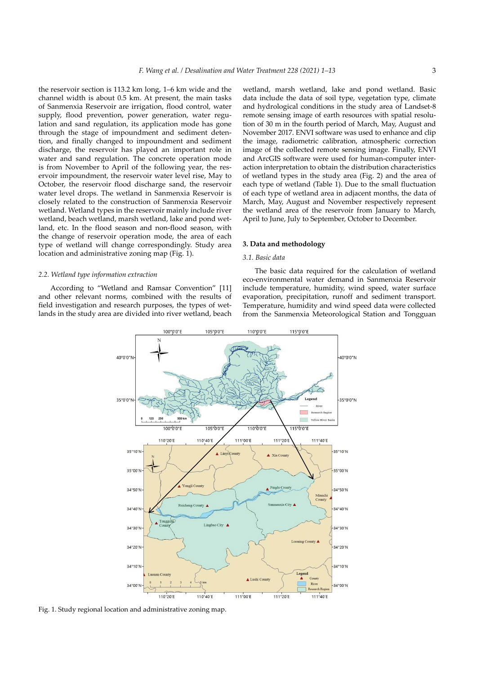the reservoir section is 113.2 km long, 1–6 km wide and the channel width is about 0.5 km. At present, the main tasks of Sanmenxia Reservoir are irrigation, flood control, water supply, flood prevention, power generation, water regulation and sand regulation, its application mode has gone through the stage of impoundment and sediment detention, and finally changed to impoundment and sediment discharge, the reservoir has played an important role in water and sand regulation. The concrete operation mode is from November to April of the following year, the reservoir impoundment, the reservoir water level rise, May to October, the reservoir flood discharge sand, the reservoir water level drops. The wetland in Sanmenxia Reservoir is closely related to the construction of Sanmenxia Reservoir wetland. Wetland types in the reservoir mainly include river wetland, beach wetland, marsh wetland, lake and pond wetland, etc. In the flood season and non-flood season, with the change of reservoir operation mode, the area of each type of wetland will change correspondingly. Study area location and administrative zoning map (Fig. 1).

#### *2.2. Wetland type information extraction*

According to "Wetland and Ramsar Convention" [11] and other relevant norms, combined with the results of field investigation and research purposes, the types of wetlands in the study area are divided into river wetland, beach

wetland, marsh wetland, lake and pond wetland. Basic data include the data of soil type, vegetation type, climate and hydrological conditions in the study area of Landset-8 remote sensing image of earth resources with spatial resolution of 30 m in the fourth period of March, May, August and November 2017. ENVI software was used to enhance and clip the image, radiometric calibration, atmospheric correction image of the collected remote sensing image. Finally, ENVI and ArcGIS software were used for human-computer interaction interpretation to obtain the distribution characteristics of wetland types in the study area (Fig. 2) and the area of each type of wetland (Table 1). Due to the small fluctuation of each type of wetland area in adjacent months, the data of March, May, August and November respectively represent the wetland area of the reservoir from January to March, April to June, July to September, October to December.

# **3. Data and methodology**

# *3.1. Basic data*

The basic data required for the calculation of wetland eco-environmental water demand in Sanmenxia Reservoir include temperature, humidity, wind speed, water surface evaporation, precipitation, runoff and sediment transport. Temperature, humidity and wind speed data were collected from the Sanmenxia Meteorological Station and Tongguan



Fig. 1. Study regional location and administrative zoning map.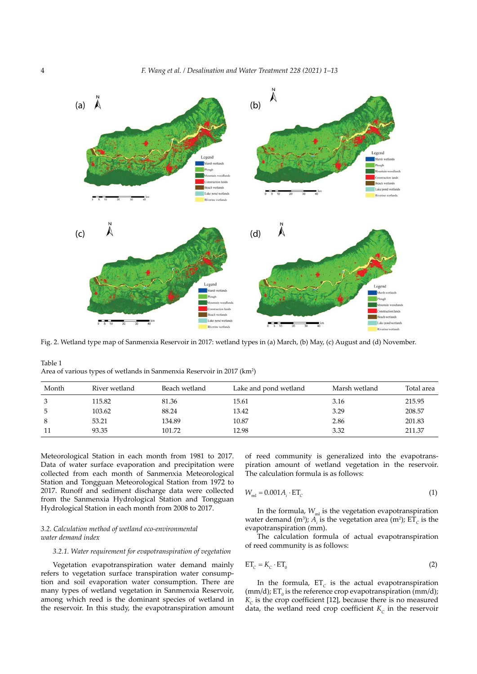

Fig. 2. Wetland type map of Sanmenxia Reservoir in 2017: wetland types in (a) March, (b) May, (c) August and (d) November.

Table 1 Area of various types of wetlands in Sanmenxia Reservoir in 2017 (km<sup>2</sup>)

| Month | River wetland | Beach wetland | Lake and pond wetland | Marsh wetland | Total area |
|-------|---------------|---------------|-----------------------|---------------|------------|
| 3     | 115.82        | 81.36         | 15.61                 | 3.16          | 215.95     |
| 5     | 103.62        | 88.24         | 13.42                 | 3.29          | 208.57     |
| 8     | 53.21         | 134.89        | 10.87                 | 2.86          | 201.83     |
| 11    | 93.35         | 101.72        | 12.98                 | 3.32          | 211.37     |

Meteorological Station in each month from 1981 to 2017. Data of water surface evaporation and precipitation were collected from each month of Sanmenxia Meteorological Station and Tongguan Meteorological Station from 1972 to 2017. Runoff and sediment discharge data were collected from the Sanmenxia Hydrological Station and Tongguan Hydrological Station in each month from 2008 to 2017.

# *3.2. Calculation method of wetland eco-environmental water demand index*

### *3.2.1. Water requirement for evapotranspiration of vegetation*

Vegetation evapotranspiration water demand mainly refers to vegetation surface transpiration water consumption and soil evaporation water consumption. There are many types of wetland vegetation in Sanmenxia Reservoir, among which reed is the dominant species of wetland in the reservoir. In this study, the evapotranspiration amount of reed community is generalized into the evapotranspiration amount of wetland vegetation in the reservoir. The calculation formula is as follows:

$$
W_{\rm ml} = 0.001 A_i \cdot \text{ET}_C \tag{1}
$$

In the formula,  $W_{\text{ml}}$  is the vegetation evapotranspiration water demand (m<sup>3</sup>);  $A_i$  is the vegetation area (m<sup>2</sup>);  $ET_c$  is the evapotranspiration (mm).

The calculation formula of actual evapotranspiration of reed community is as follows:

$$
ET_c = K_c \cdot ET_0 \tag{2}
$$

In the formula,  $ET_c$  is the actual evapotranspiration (mm/d);  $ET_0$  is the reference crop evapotranspiration (mm/d);  $K_c$  is the crop coefficient [12], because there is no measured data, the wetland reed crop coefficient  $K_c$  in the reservoir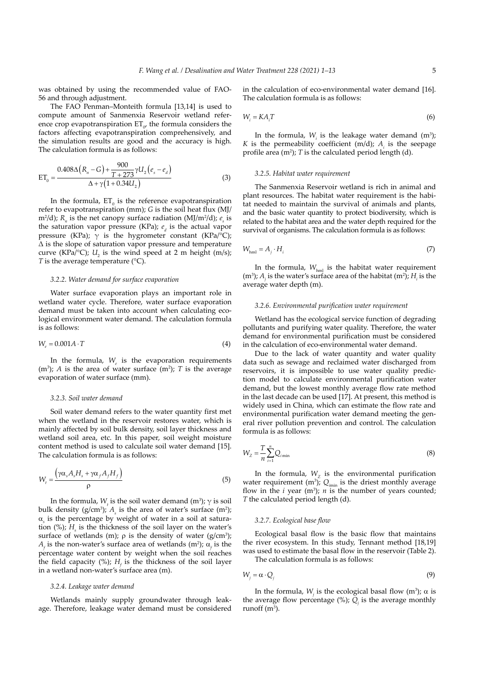was obtained by using the recommended value of FAO-56 and through adjustment.

The FAO Penman–Monteith formula [13,14] is used to compute amount of Sanmenxia Reservoir wetland reference crop evapotranspiration  $ET_{\sigma}$ , the formula considers the factors affecting evapotranspiration comprehensively, and the simulation results are good and the accuracy is high. The calculation formula is as follows:

$$
ET_0 = \frac{0.408\Delta (R_n - G) + \frac{900}{T + 273} \gamma U_2 (e_s - e_d)}{\Delta + \gamma (1 + 0.34U_2)}
$$
(3)

In the formula,  $ET_{0}$  is the reference evapotranspiration refer to evapotranspiration (mm); *G* is the soil heat flux (MJ/ m<sup>2</sup>/d);  $R_n$  is the net canopy surface radiation (MJ/m<sup>2</sup>/d);  $e_s$  is the saturation vapor pressure (KPa);  $e_d$  is the actual vapor pressure (KPa);  $\gamma$  is the hygrometer constant (KPa/°C); Δ is the slope of saturation vapor pressure and temperature curve (KPa/°C);  $U_2$  is the wind speed at 2 m height (m/s); *T* is the average temperature (°C).

### *3.2.2. Water demand for surface evaporation*

Water surface evaporation plays an important role in wetland water cycle. Therefore, water surface evaporation demand must be taken into account when calculating ecological environment water demand. The calculation formula is as follows:

$$
W_e = 0.001A \cdot T \tag{4}
$$

In the formula,  $W_e$  is the evaporation requirements  $(m<sup>3</sup>)$ ; *A* is the area of water surface  $(m<sup>2</sup>)$ ; *T* is the average evaporation of water surface (mm).

#### *3.2.3. Soil water demand*

Soil water demand refers to the water quantity first met when the wetland in the reservoir restores water, which is mainly affected by soil bulk density, soil layer thickness and wetland soil area, etc. In this paper, soil weight moisture content method is used to calculate soil water demand [15]. The calculation formula is as follows:

$$
W_{t} = \frac{\left(\gamma \alpha_{s} A_{s} H_{s} + \gamma \alpha_{f} A_{f} H_{f}\right)}{\rho}
$$
\n
$$
(5)
$$

In the formula,  $W_t$  is the soil water demand (m<sup>3</sup>); γ is soil bulk density ( $g/cm^3$ );  $A_s$  is the area of water's surface (m<sup>2</sup>); α*s* is the percentage by weight of water in a soil at saturation  $(\%)$ ;  $H_s$  is the thickness of the soil layer on the water's surface of wetlands (m);  $\rho$  is the density of water (g/cm<sup>3</sup>);  $A_f$  is the non-water's surface area of wetlands (m<sup>2</sup>);  $\alpha_f$  is the percentage water content by weight when the soil reaches the field capacity  $(\%)$ ;  $H_f$  is the thickness of the soil layer in a wetland non-water's surface area (m).

#### *3.2.4. Leakage water demand*

Wetlands mainly supply groundwater through leakage. Therefore, leakage water demand must be considered in the calculation of eco-environmental water demand [16]. The calculation formula is as follows:

$$
W_i = KA_i T \tag{6}
$$

In the formula,  $W_i$  is the leakage water demand  $(m^3)$ ; *K* is the permeability coefficient (m/d);  $A_i$  is the seepage profile area  $(m^2)$ ; *T* is the calculated period length (d).

#### *3.2.5. Habitat water requirement*

The Sanmenxia Reservoir wetland is rich in animal and plant resources. The habitat water requirement is the habitat needed to maintain the survival of animals and plants, and the basic water quantity to protect biodiversity, which is related to the habitat area and the water depth required for the survival of organisms. The calculation formula is as follows:

$$
W_{\text{hml}} = A_j \cdot H_i \tag{7}
$$

In the formula,  $W_{\text{hml}}$  is the habitat water requirement (m<sup>3</sup>);  $A_i$  is the water's surface area of the habitat (m<sup>2</sup>);  $H_i$  is the average water depth (m).

#### *3.2.6. Environmental purification water requirement*

Wetland has the ecological service function of degrading pollutants and purifying water quality. Therefore, the water demand for environmental purification must be considered in the calculation of eco-environmental water demand.

Due to the lack of water quantity and water quality data such as sewage and reclaimed water discharged from reservoirs, it is impossible to use water quality prediction model to calculate environmental purification water demand, but the lowest monthly average flow rate method in the last decade can be used [17]. At present, this method is widely used in China, which can estimate the flow rate and environmental purification water demand meeting the general river pollution prevention and control. The calculation formula is as follows:

$$
W_{Z} = \frac{T}{n} \sum_{i=1}^{n} Q_{i \min}
$$
 (8)

In the formula,  $W<sub>z</sub>$  is the environmental purification water requirement (m<sup>3</sup>);  $Q_{\text{min}}$  is the driest monthly average flow in the  $i$  year (m<sup>3</sup>);  $n$  is the number of years counted; *T* the calculated period length (d).

### *3.2.7. Ecological base flow*

Ecological basal flow is the basic flow that maintains the river ecosystem. In this study, Tennant method [18,19] was used to estimate the basal flow in the reservoir (Table 2). The calculation formula is as follows:

$$
W_j = \alpha \cdot Q_j \tag{9}
$$

In the formula, *W<sub>i</sub>* is the ecological basal flow (m<sup>3</sup>); α is the average flow percentage  $(\%)$ ;  $Q_i$  is the average monthly runoff  $(m^3)$ .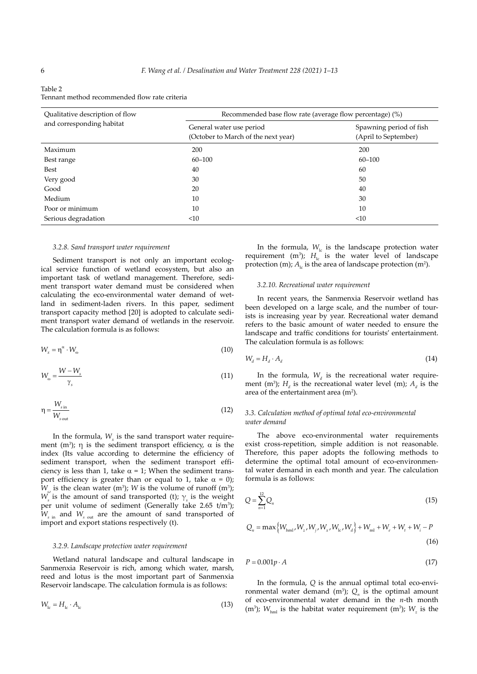| Table 2                                       |
|-----------------------------------------------|
| Tennant method recommended flow rate criteria |

| Qualitative description of flow | Recommended base flow rate (average flow percentage) (%)        |                                                 |  |
|---------------------------------|-----------------------------------------------------------------|-------------------------------------------------|--|
| and corresponding habitat       | General water use period<br>(October to March of the next year) | Spawning period of fish<br>(April to September) |  |
| Maximum                         | 200                                                             | 200                                             |  |
| Best range                      | $60 - 100$                                                      | $60 - 100$                                      |  |
| Best                            | 40                                                              | 60                                              |  |
| Very good                       | 30                                                              | 50                                              |  |
| Good                            | 20                                                              | 40                                              |  |
| Medium                          | 10                                                              | 30                                              |  |
| Poor or minimum                 | 10                                                              | 10                                              |  |
| Serious degradation             | <10                                                             | $<$ 10                                          |  |

#### *3.2.8. Sand transport water requirement*

Sediment transport is not only an important ecological service function of wetland ecosystem, but also an important task of wetland management. Therefore, sediment transport water demand must be considered when calculating the eco-environmental water demand of wetland in sediment-laden rivers. In this paper, sediment transport capacity method [20] is adopted to calculate sediment transport water demand of wetlands in the reservoir. The calculation formula is as follows:

$$
W_x = \eta^\alpha \cdot W_\omega \tag{10}
$$

$$
W_{\omega} = \frac{W - W_s}{\gamma_s} \tag{11}
$$

$$
\eta = \frac{W_{\rm sin}}{W_{\rm sout}}\tag{12}
$$

In the formula,  $W_x$  is the sand transport water requirement  $(m^3)$ ; η is the sediment transport efficiency,  $\alpha$  is the index (Its value according to determine the efficiency of sediment transport, when the sediment transport efficiency is less than 1, take  $\alpha$  = 1; When the sediment transport efficiency is greater than or equal to 1, take  $\alpha = 0$ );  $W_{\omega}$  is the clean water (m<sup>3</sup>); *W* is the volume of runoff (m<sup>3</sup>);  $W<sub>s</sub>$  is the amount of sand transported (t);  $\gamma<sub>s</sub>$  is the weight per unit volume of sediment (Generally take 2.65  $t/m^3$ );  $W_{s}$ <sub>in</sub> and  $W_{s}$ <sub>out</sub> are the amount of sand transported of import and export stations respectively (t).

# *3.2.9. Landscape protection water requirement*

Wetland natural landscape and cultural landscape in Sanmenxia Reservoir is rich, among which water, marsh, reed and lotus is the most important part of Sanmenxia Reservoir landscape. The calculation formula is as follows:

$$
W_{\rm lc} = H_{\rm lc} \cdot A_{\rm lc} \tag{13}
$$

In the formula,  $W_{\text{lc}}$  is the landscape protection water requirement (m<sup>3</sup>);  $H_{\text{lc}}$  is the water level of landscape protection (m);  $A_{I_c}$  is the area of landscape protection (m<sup>2</sup>).

# *3.2.10. Recreational water requirement*

In recent years, the Sanmenxia Reservoir wetland has been developed on a large scale, and the number of tourists is increasing year by year. Recreational water demand refers to the basic amount of water needed to ensure the landscape and traffic conditions for tourists' entertainment. The calculation formula is as follows:

$$
W_d = H_d \cdot A_d \tag{14}
$$

In the formula,  $W_d$  is the recreational water requirement (m<sup>3</sup>);  $H_d$  is the recreational water level (m);  $A_d$  is the area of the entertainment area  $(m<sup>2</sup>)$ .

# *3.3. Calculation method of optimal total eco-environmental water demand*

The above eco-environmental water requirements exist cross-repetition, simple addition is not reasonable. Therefore, this paper adopts the following methods to determine the optimal total amount of eco-environmental water demand in each month and year. The calculation formula is as follows:

$$
Q = \sum_{n=1}^{12} Q_n
$$
 (15)

$$
Q_n = \max \{ W_{hm1}, W_z, W_j, W_x, W_{lc}, W_d \} + W_{ml} + W_e + W_t + W_i - P
$$
\n(16)

$$
P = 0.001p \cdot A \tag{17}
$$

In the formula, *Q* is the annual optimal total eco-environmental water demand  $(m^3)$ ;  $Q_n$  is the optimal amount of eco-environmental water demand in the *n*-th month (m<sup>3</sup>);  $W_{\text{hml}}$  is the habitat water requirement (m<sup>3</sup>);  $W_z$  is the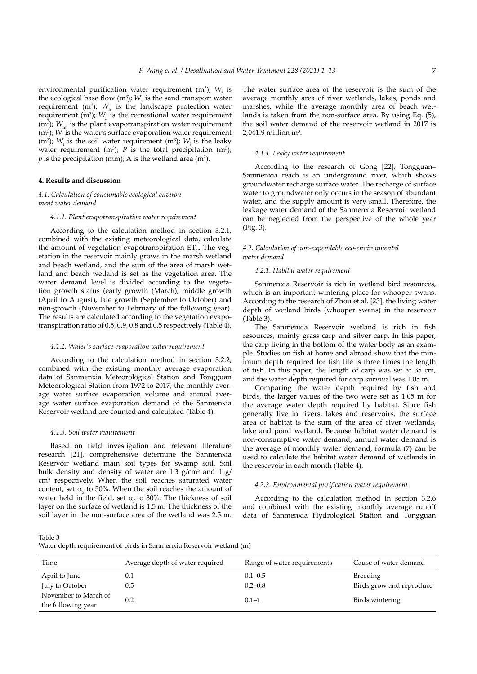environmental purification water requirement  $(m^3)$ ;  $W_i$  is the ecological base flow  $(m^3)$ ;  $W_x$  is the sand transport water requirement ( $m^3$ );  $W_{1c}$  is the landscape protection water requirement (m<sup>3</sup>);  $W_d$  is the recreational water requirement  $(m<sup>3</sup>)$ ;  $W<sub>ml</sub>$  is the plant evapotranspiration water requirement  $(m<sup>3</sup>)$ ;  $W<sub>e</sub>$  is the water's surface evaporation water requirement (m<sup>3</sup>); *W<sub>t</sub>* is the soil water requirement (m<sup>3</sup>); *W<sub>i</sub>* is the leaky water requirement  $(m^3)$ ; *P* is the total precipitation  $(m^3)$ ;  $p$  is the precipitation (mm); A is the wetland area (m<sup>2</sup>).

### **4. Results and discussion**

# *4.1. Calculation of consumable ecological environment water demand*

#### *4.1.1. Plant evapotranspiration water requirement*

According to the calculation method in section 3.2.1, combined with the existing meteorological data, calculate the amount of vegetation evapotranspiration ET<sub>*c*</sub>. The vegetation in the reservoir mainly grows in the marsh wetland and beach wetland, and the sum of the area of marsh wetland and beach wetland is set as the vegetation area. The water demand level is divided according to the vegetation growth status (early growth (March), middle growth (April to August), late growth (September to October) and non-growth (November to February of the following year). The results are calculated according to the vegetation evapotranspiration ratio of 0.5, 0.9, 0.8 and 0.5 respectively (Table 4).

### *4.1.2. Water's surface evaporation water requirement*

According to the calculation method in section 3.2.2, combined with the existing monthly average evaporation data of Sanmenxia Meteorological Station and Tongguan Meteorological Station from 1972 to 2017, the monthly average water surface evaporation volume and annual average water surface evaporation demand of the Sanmenxia Reservoir wetland are counted and calculated (Table 4).

### *4.1.3. Soil water requirement*

Based on field investigation and relevant literature research [21], comprehensive determine the Sanmenxia Reservoir wetland main soil types for swamp soil. Soil bulk density and density of water are  $1.3$  g/cm<sup>3</sup> and  $1$  g/ cm3 respectively. When the soil reaches saturated water content, set  $\alpha_{s}$  to 50%. When the soil reaches the amount of water held in the field, set  $\alpha_f$  to 30%. The thickness of soil layer on the surface of wetland is 1.5 m. The thickness of the soil layer in the non-surface area of the wetland was 2.5 m.

The water surface area of the reservoir is the sum of the average monthly area of river wetlands, lakes, ponds and marshes, while the average monthly area of beach wetlands is taken from the non-surface area. By using Eq. (5), the soil water demand of the reservoir wetland in 2017 is  $2,041.9$  million m<sup>3</sup>.

#### *4.1.4. Leaky water requirement*

According to the research of Gong [22], Tongguan– Sanmenxia reach is an underground river, which shows groundwater recharge surface water. The recharge of surface water to groundwater only occurs in the season of abundant water, and the supply amount is very small. Therefore, the leakage water demand of the Sanmenxia Reservoir wetland can be neglected from the perspective of the whole year (Fig. 3).

# *4.2. Calculation of non-expendable eco-environmental water demand*

#### *4.2.1. Habitat water requirement*

Sanmenxia Reservoir is rich in wetland bird resources, which is an important wintering place for whooper swans. According to the research of Zhou et al. [23], the living water depth of wetland birds (whooper swans) in the reservoir (Table 3).

The Sanmenxia Reservoir wetland is rich in fish resources, mainly grass carp and silver carp. In this paper, the carp living in the bottom of the water body as an example. Studies on fish at home and abroad show that the minimum depth required for fish life is three times the length of fish. In this paper, the length of carp was set at 35 cm, and the water depth required for carp survival was 1.05 m.

Comparing the water depth required by fish and birds, the larger values of the two were set as 1.05 m for the average water depth required by habitat. Since fish generally live in rivers, lakes and reservoirs, the surface area of habitat is the sum of the area of river wetlands, lake and pond wetland. Because habitat water demand is non-consumptive water demand, annual water demand is the average of monthly water demand, formula (7) can be used to calculate the habitat water demand of wetlands in the reservoir in each month (Table 4).

# *4.2.2. Environmental purification water requirement*

According to the calculation method in section 3.2.6 and combined with the existing monthly average runoff data of Sanmenxia Hydrological Station and Tongguan

Table 3

Water depth requirement of birds in Sanmenxia Reservoir wetland (m)

| Time                 | Average depth of water required | Range of water requirements | Cause of water demand    |
|----------------------|---------------------------------|-----------------------------|--------------------------|
| April to June        | 0.1                             | $0.1 - 0.5$                 | <b>Breeding</b>          |
| July to October      | 0.5                             | $0.2 - 0.8$                 | Birds grow and reproduce |
| November to March of |                                 |                             |                          |
| the following year   | 0.2                             | $0.1 - 1$                   | Birds wintering          |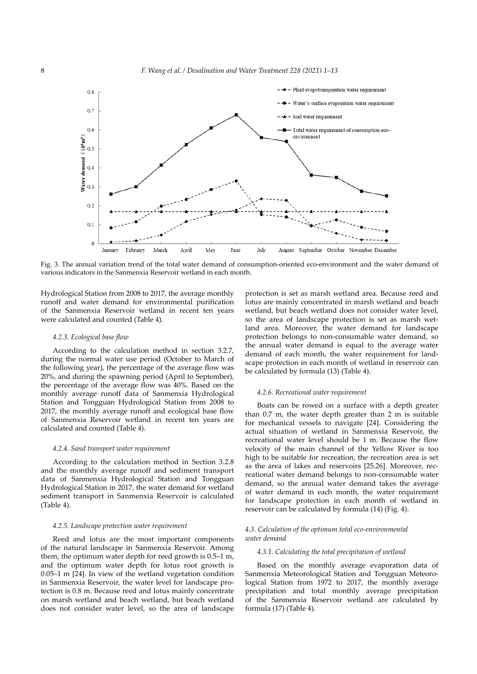

Fig. 3. The annual variation trend of the total water demand of consumption-oriented eco-environment and the water demand of various indicators in the Sanmenxia Reservoir wetland in each month.

Hydrological Station from 2008 to 2017, the average monthly runoff and water demand for environmental purification of the Sanmenxia Reservoir wetland in recent ten years were calculated and counted (Table 4).

## *4.2.3. Ecological base flow*

According to the calculation method in section 3.2.7, during the normal water use period (October to March of the following year), the percentage of the average flow was 20%, and during the spawning period (April to September), the percentage of the average flow was 40%. Based on the monthly average runoff data of Sanmenxia Hydrological Station and Tongguan Hydrological Station from 2008 to 2017, the monthly average runoff and ecological base flow of Sanmenxia Reservoir wetland in recent ten years are calculated and counted (Table 4).

#### *4.2.4. Sand transport water requirement*

According to the calculation method in Section 3.2.8 and the monthly average runoff and sediment transport data of Sanmenxia Hydrological Station and Tongguan Hydrological Station in 2017, the water demand for wetland sediment transport in Sanmenxia Reservoir is calculated (Table 4).

#### *4.2.5. Landscape protection water requirement*

Reed and lotus are the most important components of the natural landscape in Sanmenxia Reservoir. Among them, the optimum water depth for reed growth is 0.5–1 m, and the optimum water depth for lotus root growth is 0.05–1 m [24]. In view of the wetland vegetation condition in Sanmenxia Reservoir, the water level for landscape protection is 0.8 m. Because reed and lotus mainly concentrate on marsh wetland and beach wetland, but beach wetland does not consider water level, so the area of landscape

protection is set as marsh wetland area. Because reed and lotus are mainly concentrated in marsh wetland and beach wetland, but beach wetland does not consider water level, so the area of landscape protection is set as marsh wetland area. Moreover, the water demand for landscape protection belongs to non-consumable water demand, so the annual water demand is equal to the average water demand of each month, the water requirement for landscape protection in each month of wetland in reservoir can be calculated by formula (13) (Table 4).

#### *4.2.6. Recreational water requirement*

Boats can be rowed on a surface with a depth greater than 0.7 m, the water depth greater than 2 m is suitable for mechanical vessels to navigate [24]. Considering the actual situation of wetland in Sanmenxia Reservoir, the recreational water level should be 1 m. Because the flow velocity of the main channel of the Yellow River is too high to be suitable for recreation, the recreation area is set as the area of lakes and reservoirs [25,26]. Moreover, recreational water demand belongs to non-consumable water demand, so the annual water demand takes the average of water demand in each month, the water requirement for landscape protection in each month of wetland in reservoir can be calculated by formula (14) (Fig. 4).

### *4.3. Calculation of the optimum total eco-environmental water demand*

#### *4.3.1. Calculating the total precipitation of wetland*

Based on the monthly average evaporation data of Sanmenxia Meteorological Station and Tongguan Meteorological Station from 1972 to 2017, the monthly average precipitation and total monthly average precipitation of the Sanmenxia Reservoir wetland are calculated by formula (17) (Table 4).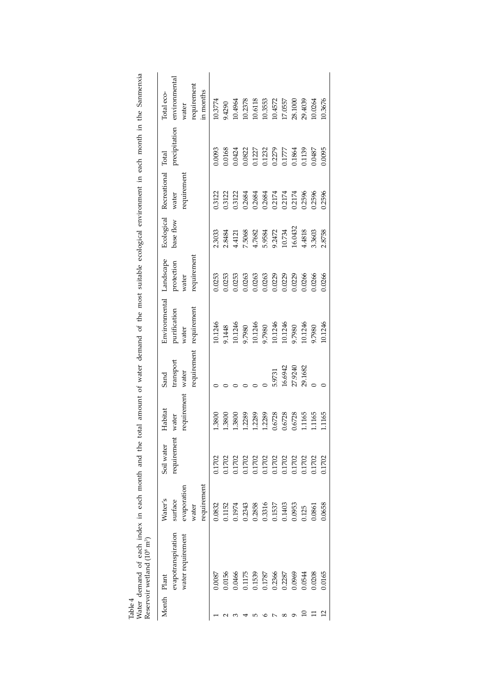|                | Reservoir wetland (10 <sup>8</sup> m <sup>3</sup> ) |             |                                                |             |           |                         |             |           |                               |               |               |
|----------------|-----------------------------------------------------|-------------|------------------------------------------------|-------------|-----------|-------------------------|-------------|-----------|-------------------------------|---------------|---------------|
|                | Month Plant                                         | Water's     | Soil water                                     | Habitat     | Sand      | Environmental Landscape |             |           | Ecological Recreational Total |               | Total eco-    |
|                | evapotranspiration                                  | surface     | requirement                                    | water       | transport | purification            | protection  | base flow | water                         | precipitation | environmental |
|                | water requirement                                   | evaporation |                                                | requirement | water     | water                   | water       |           | requirement                   |               | water         |
|                |                                                     | water       |                                                |             |           | requirement requirement | requirement |           |                               |               | requirement   |
|                |                                                     | requirement |                                                |             |           |                         |             |           |                               |               | in months     |
|                | 0.0087                                              | 0.0832      | 0.1702                                         | 1.3800      |           | 10.1246                 | 0.0253      | 2.3033    | 0.3122                        | 1,0093        | 10.3774       |
|                | 0.0156                                              | 0.1152      | 0.1702                                         | 1.3800      |           | 9.1448                  | 0.0253      | 2.8484    | 0.3122                        | 0.0168        | 9.4290        |
|                | 0.0466                                              | 0.1974      | 0.1702                                         | 1.3800      |           | 10.1246                 | 0.0253      | 4.4121    | 0.3122                        | 0.0424        | 10.4964       |
|                | 0.1175                                              | 0.2343      | 0.1702                                         | 1.2289      |           | 9.7980                  | 0.0263      | 7.5068    | 0.2684                        | 0.0822        | 10.2378       |
|                | 0.1539                                              | 0.2858      |                                                | 1.2289      |           | 10.1246                 | 0.0263      | 4.7682    | 0.2684                        | 0.1227        | 10.6118       |
|                | 0.1787                                              | 0.3316      |                                                | 1.2289      |           | 9.7980                  | 0.0263      | 5.9584    | 0.2684                        | 0.1232        | 10.3553       |
|                | 0.2366                                              | 0.1537      |                                                | 0.6728      | 5.9731    | 10.1246                 | 0.0229      | 9.2472    | 0.2174                        | 0.2279        | 10.4572       |
|                | 0.2287                                              | 0.1403      |                                                | 0.6728      | 16.6942   | 10.1246                 | 0.0229      | 10.734    | 0.2174                        | 0.1777        | 17.0557       |
|                | 0.0969                                              | 0.0953      | 0.1702<br>0.1702<br>0.1702<br>0.1702<br>0.1702 | 0.6728      | 27.9240   | 9.7980                  | 0.0229      | 16.0432   | 0.2174                        | 0.1864        | 28.1000       |
| ≘              | 0.0544                                              | 1.125       | 0.1702                                         | 1.1165      | 29.1682   | 10.1246                 | 0.0266      | 4.4818    | 0.2596                        | 0.1139        | 29.4039       |
|                | 0.0208                                              | 0.0861      | 0.1702                                         | 1.1165      |           | 9.7980                  | 0.0266      | 3.3603    | 0.2596                        | 0.0487        | 10.0264       |
| $\mathfrak{c}$ | 0.0165                                              | 0.0658      | 0.1702                                         | 1.1165      |           | 10.1246                 | 0.0266      | 2.8758    | 0.2596                        | 0.0095        | 10.3676       |

Table 4<br>Water demand of each index in each month and the total amount of water demand of the most suitable ecological environment in each month in the Sanmenxia<br>Reservoir wetland (10<sup>8</sup> m<sup>3</sup>) Water demand of each index in each month and the total amount of water demand of the most suitable ecological environment in each month in the Sanmenxia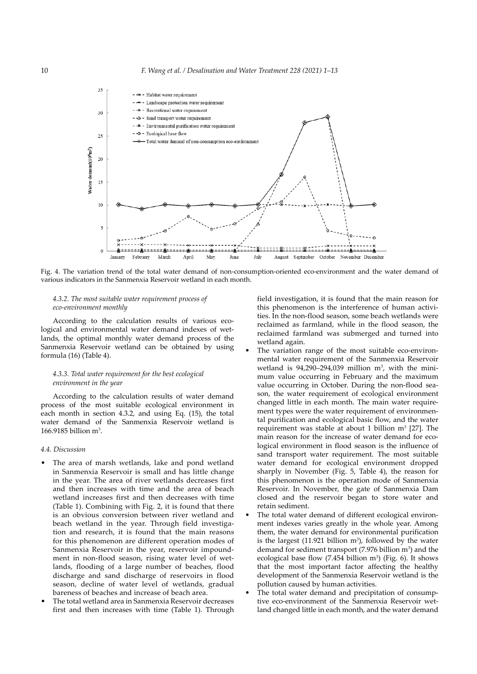

Fig. 4. The variation trend of the total water demand of non-consumption-oriented eco-environment and the water demand of various indicators in the Sanmenxia Reservoir wetland in each month.

# *4.3.2. The most suitable water requirement process of eco-environment monthly*

According to the calculation results of various ecological and environmental water demand indexes of wetlands, the optimal monthly water demand process of the Sanmenxia Reservoir wetland can be obtained by using formula (16) (Table 4).

# *4.3.3. Total water requirement for the best ecological environment in the year*

According to the calculation results of water demand process of the most suitable ecological environment in each month in section 4.3.2, and using Eq. (15), the total water demand of the Sanmenxia Reservoir wetland is  $166.9185$  billion m<sup>3</sup>.

# *4.4. Discussion*

- The area of marsh wetlands, lake and pond wetland in Sanmenxia Reservoir is small and has little change in the year. The area of river wetlands decreases first and then increases with time and the area of beach wetland increases first and then decreases with time (Table 1). Combining with Fig. 2, it is found that there is an obvious conversion between river wetland and beach wetland in the year. Through field investigation and research, it is found that the main reasons for this phenomenon are different operation modes of Sanmenxia Reservoir in the year, reservoir impoundment in non-flood season, rising water level of wetlands, flooding of a large number of beaches, flood discharge and sand discharge of reservoirs in flood season, decline of water level of wetlands, gradual bareness of beaches and increase of beach area.
- The total wetland area in Sanmenxia Reservoir decreases first and then increases with time (Table 1). Through

field investigation, it is found that the main reason for this phenomenon is the interference of human activities. In the non-flood season, some beach wetlands were reclaimed as farmland, while in the flood season, the reclaimed farmland was submerged and turned into wetland again.

- The variation range of the most suitable eco-environmental water requirement of the Sanmenxia Reservoir wetland is  $94,290-294,039$  million m<sup>3</sup>, with the minimum value occurring in February and the maximum value occurring in October. During the non-flood season, the water requirement of ecological environment changed little in each month. The main water requirement types were the water requirement of environmental purification and ecological basic flow, and the water requirement was stable at about 1 billion  $m^3$  [27]. The main reason for the increase of water demand for ecological environment in flood season is the influence of sand transport water requirement. The most suitable water demand for ecological environment dropped sharply in November (Fig. 5, Table 4), the reason for this phenomenon is the operation mode of Sanmenxia Reservoir. In November, the gate of Sanmenxia Dam closed and the reservoir began to store water and retain sediment.
- The total water demand of different ecological environment indexes varies greatly in the whole year. Among them, the water demand for environmental purification is the largest  $(11.921 \text{ billion m}^3)$ , followed by the water demand for sediment transport (7.976 billion  $m^3$ ) and the ecological base flow  $(7.454 \text{ billion m}^3)$  (Fig. 6). It shows that the most important factor affecting the healthy development of the Sanmenxia Reservoir wetland is the pollution caused by human activities.
- The total water demand and precipitation of consumptive eco-environment of the Sanmenxia Reservoir wetland changed little in each month, and the water demand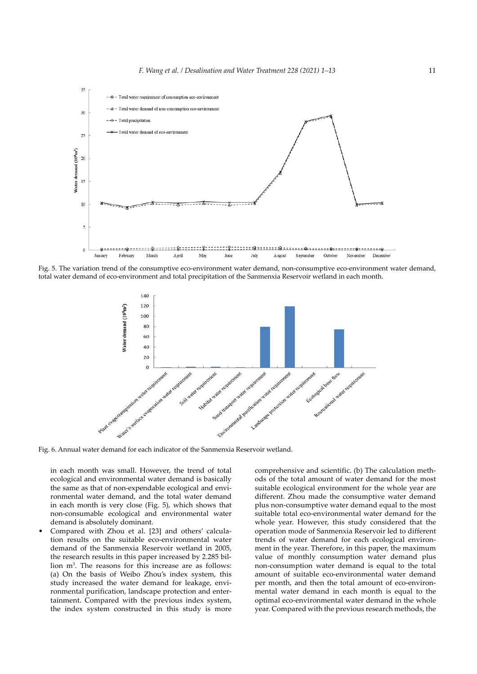

Fig. 5. The variation trend of the consumptive eco-environment water demand, non-consumptive eco-environment water demand, total water demand of eco-environment and total precipitation of the Sanmenxia Reservoir wetland in each month.



Fig. 6. Annual water demand for each indicator of the Sanmenxia Reservoir wetland.

in each month was small. However, the trend of total ecological and environmental water demand is basically the same as that of non-expendable ecological and environmental water demand, and the total water demand in each month is very close (Fig. 5), which shows that non-consumable ecological and environmental water demand is absolutely dominant.

• Compared with Zhou et al. [23] and others' calculation results on the suitable eco-environmental water demand of the Sanmenxia Reservoir wetland in 2005, the research results in this paper increased by 2.285 billion m3 . The reasons for this increase are as follows: (a) On the basis of Weibo Zhou's index system, this study increased the water demand for leakage, environmental purification, landscape protection and entertainment. Compared with the previous index system, the index system constructed in this study is more

comprehensive and scientific. (b) The calculation methods of the total amount of water demand for the most suitable ecological environment for the whole year are different. Zhou made the consumptive water demand plus non-consumptive water demand equal to the most suitable total eco-environmental water demand for the whole year. However, this study considered that the operation mode of Sanmenxia Reservoir led to different trends of water demand for each ecological environment in the year. Therefore, in this paper, the maximum value of monthly consumption water demand plus non-consumption water demand is equal to the total amount of suitable eco-environmental water demand per month, and then the total amount of eco-environmental water demand in each month is equal to the optimal eco-environmental water demand in the whole year. Compared with the previous research methods, the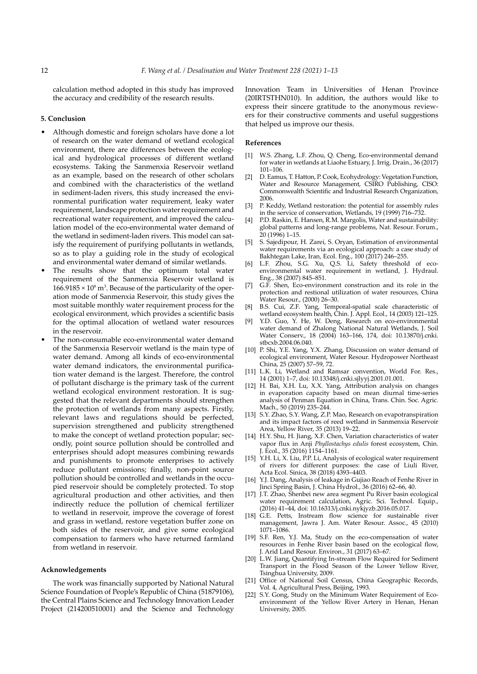calculation method adopted in this study has improved the accuracy and credibility of the research results.

# **5. Conclusion**

- Although domestic and foreign scholars have done a lot of research on the water demand of wetland ecological environment, there are differences between the ecological and hydrological processes of different wetland ecosystems. Taking the Sanmenxia Reservoir wetland as an example, based on the research of other scholars and combined with the characteristics of the wetland in sediment-laden rivers, this study increased the environmental purification water requirement, leaky water requirement, landscape protection water requirement and recreational water requirement, and improved the calculation model of the eco-environmental water demand of the wetland in sediment-laden rivers. This model can satisfy the requirement of purifying pollutants in wetlands, so as to play a guiding role in the study of ecological and environmental water demand of similar wetlands.
- The results show that the optimum total water requirement of the Sanmenxia Reservoir wetland is  $166.9185 \times 10^8$  m<sup>3</sup>. Because of the particularity of the operation mode of Sanmenxia Reservoir, this study gives the most suitable monthly water requirement process for the ecological environment, which provides a scientific basis for the optimal allocation of wetland water resources in the reservoir.
- The non-consumable eco-environmental water demand of the Sanmenxia Reservoir wetland is the main type of water demand. Among all kinds of eco-environmental water demand indicators, the environmental purification water demand is the largest. Therefore, the control of pollutant discharge is the primary task of the current wetland ecological environment restoration. It is suggested that the relevant departments should strengthen the protection of wetlands from many aspects. Firstly, relevant laws and regulations should be perfected, supervision strengthened and publicity strengthened to make the concept of wetland protection popular; secondly, point source pollution should be controlled and enterprises should adopt measures combining rewards and punishments to promote enterprises to actively reduce pollutant emissions; finally, non-point source pollution should be controlled and wetlands in the occupied reservoir should be completely protected. To stop agricultural production and other activities, and then indirectly reduce the pollution of chemical fertilizer to wetland in reservoir, improve the coverage of forest and grass in wetland, restore vegetation buffer zone on both sides of the reservoir, and give some ecological compensation to farmers who have returned farmland from wetland in reservoir.

#### **Acknowledgements**

The work was financially supported by National Natural Science Foundation of People's Republic of China (51879106), the Central Plains Science and Technology Innovation Leader Project (214200510001) and the Science and Technology Innovation Team in Universities of Henan Province (20IRTSTHN010). In addition, the authors would like to express their sincere gratitude to the anonymous reviewers for their constructive comments and useful suggestions that helped us improve our thesis.

#### **References**

- [1] W.S. Zhang, L.F. Zhou, Q. Cheng, Eco-environmental demand for water in wetlands at Liaohe Estuary, J. Irrig. Drain., 36 (2017) 101–106.
- D. Eamus, T. Hatton, P. Cook, Ecohydrology: Vegetation Function, Water and Resource Management, CSIRO Publishing, CISO: Commonwealth Scientific and Industrial Research Organization, 2006.
- [3] P. Keddy, Wetland restoration: the potential for assembly rules in the service of conservation, Wetlands, 19 (1999) 716–732.
- [4] P.D. Raskin, E. Hansen, R.M. Margolis, Water and sustainability: global patterns and long-range problems, Nat. Resour. Forum., 20 (1996) 1–15.
- [5] S. Sajedipour, H. Zarei, S. Oryan, Estimation of environmental water requirements via an ecological approach: a case study of Bakhtegan Lake, Iran, Ecol. Eng., 100 (2017) 246–255.
- [6] L.F. Zhou, S.G. Xu, Q.S. Li, Safety threshold of ecoenvironmental water requirement in wetland, J. Hydraul. Eng., 38 (2007) 845–851.
- [7] G.F. Shen, Eco-environment construction and its role in the protection and restional utilization of water resources, China Water Resour., (2000) 26–30.
- [8] B.S. Cui, Z.F. Yang, Temporal-spatial scale characteristic of wetland ecosystem health, Chin. J. Appl. Ecol., 14 (2003) 121–125.
- [9] Y.D. Guo, Y. He, W. Deng, Research on eco-environmental water demand of Zhalong National Natural Wetlands, J. Soil Water Conserv., 18 (2004) 163–166, 174, doi: 10.13870/j.cnki. stbcxb.2004.06.040.
- [10] P. Shi, Y.E. Yang, Y.X. Zhang, Discussion on water demand of ecological environment, Water Resour. Hydropower Northeast China, 25 (2007) 57–59, 72.
- [11] L.K. Li, Wetland and Ramsar convention, World For. Res., 14 (2001) 1–7, doi: 10.13348/j.cnki.sjlyyj.2001.01.001.
- [12] H. Bai, X.H. Lu, X.X. Yang, Attribution analysis on changes in evaporation capacity based on mean diurnal time-series analysis of Penman Equation in China, Trans. Chin. Soc. Agric. Mach., 50 (2019) 235–244.
- [13] S.Y. Zhao, S.Y. Wang, Z.P. Mao, Research on evapotranspiration and its impact factors of reed wetland in Sanmenxia Reservoir Area, Yellow River, 35 (2013) 19–22.
- [14] H.Y. Shu, H. Jiang, X.F. Chen, Variation characteristics of water vapor flux in Anji *Phyllostachys edulis* forest ecosystem, Chin. J. Ecol., 35 (2016) 1154–1161.
- [15] Y.H. Li, X. Liu, P.P. Li, Analysis of ecological water requirement of rivers for different purposes: the case of Liuli River, Acta Ecol. Sinica, 38 (2018) 4393–4403.
- [16] Y.J. Dang, Analysis of leakage in Gujiao Reach of Fenhe River in Jinci Spring Basin, J. China Hydrol., 36 (2016) 62–66, 40.
- [17] J.T. Zhao, Shenbei new area segment Pu River basin ecological water requirement calculation, Agric. Sci. Technol. Equip., (2016) 41–44, doi: 10.16313/j.cnki.nykjyzb.2016.05.017.
- [18] G.E. Petts, Instream flow science for sustainable river management, Jawra J. Am. Water Resour. Assoc., 45 (2010) 1071–1086.
- [19] S.F. Ren, Y.J. Ma, Study on the eco-compensation of water resources in Fenhe River basin based on the ecological flow, J. Arid Land Resour. Environ., 31 (2017) 63–67.
- [20] L.W. Jiang, Quantifying In-stream Flow Required for Sediment Transport in the Flood Season of the Lower Yellow River, Tsinghua University, 2009.
- [21] Office of National Soil Census, China Geographic Records, Vol. 4, Agricultural Press, Beijing, 1993.
- [22] S.Y. Gong, Study on the Minimum Water Requirement of Ecoenvironment of the Yellow River Artery in Henan, Henan University, 2005.